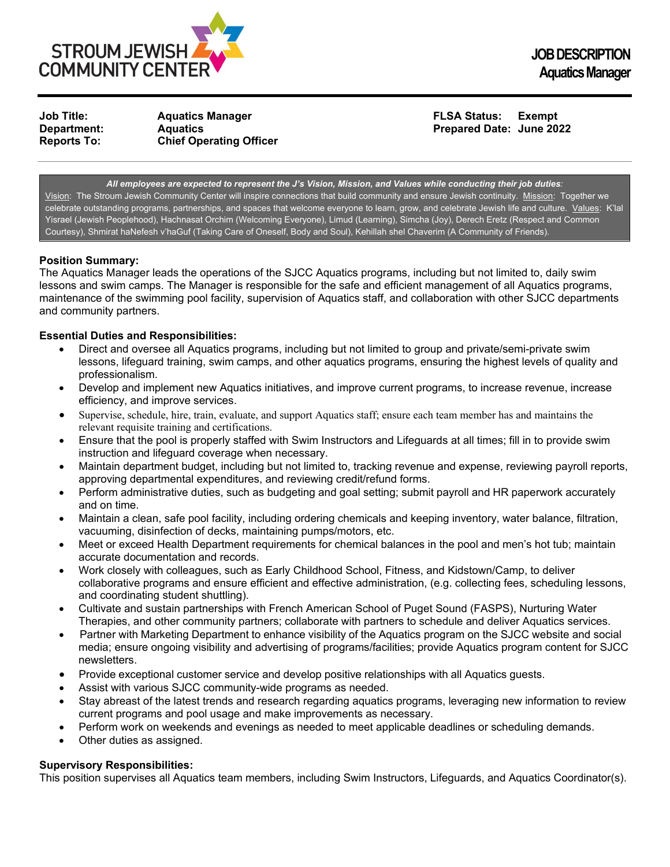

**Reports To: Chief Operating Officer**

**Job Title: Aquatics Manager FLSA Status: Exempt Prepared Date: June 2022** 

*All employees are expected to represent the J's Vision, Mission, and Values while conducting their job duties:* Vision: The Stroum Jewish Community Center will inspire connections that build community and ensure Jewish continuity. Mission: Together we celebrate outstanding programs, partnerships, and spaces that welcome everyone to learn, grow, and celebrate Jewish life and culture. Values: K'lal Yisrael (Jewish Peoplehood), Hachnasat Orchim (Welcoming Everyone), Limud (Learning), Simcha (Joy), Derech Eretz (Respect and Common Courtesy), Shmirat haNefesh v'haGuf (Taking Care of Oneself, Body and Soul), Kehillah shel Chaverim (A Community of Friends).

# **Position Summary:**

The Aquatics Manager leads the operations of the SJCC Aquatics programs, including but not limited to, daily swim lessons and swim camps. The Manager is responsible for the safe and efficient management of all Aquatics programs, maintenance of the swimming pool facility, supervision of Aquatics staff, and collaboration with other SJCC departments and community partners.

## **Essential Duties and Responsibilities:**

- Direct and oversee all Aquatics programs, including but not limited to group and private/semi-private swim lessons, lifeguard training, swim camps, and other aquatics programs, ensuring the highest levels of quality and professionalism.
- Develop and implement new Aquatics initiatives, and improve current programs, to increase revenue, increase efficiency, and improve services.
- Supervise, schedule, hire, train, evaluate, and support Aquatics staff; ensure each team member has and maintains the relevant requisite training and certifications.
- Ensure that the pool is properly staffed with Swim Instructors and Lifeguards at all times; fill in to provide swim instruction and lifeguard coverage when necessary.
- Maintain department budget, including but not limited to, tracking revenue and expense, reviewing payroll reports, approving departmental expenditures, and reviewing credit/refund forms.
- Perform administrative duties, such as budgeting and goal setting; submit payroll and HR paperwork accurately and on time.
- Maintain a clean, safe pool facility, including ordering chemicals and keeping inventory, water balance, filtration, vacuuming, disinfection of decks, maintaining pumps/motors, etc.
- Meet or exceed Health Department requirements for chemical balances in the pool and men's hot tub; maintain accurate documentation and records.
- Work closely with colleagues, such as Early Childhood School, Fitness, and Kidstown/Camp, to deliver collaborative programs and ensure efficient and effective administration, (e.g. collecting fees, scheduling lessons, and coordinating student shuttling).
- Cultivate and sustain partnerships with French American School of Puget Sound (FASPS), Nurturing Water Therapies, and other community partners; collaborate with partners to schedule and deliver Aquatics services.
- Partner with Marketing Department to enhance visibility of the Aquatics program on the SJCC website and social media; ensure ongoing visibility and advertising of programs/facilities; provide Aquatics program content for SJCC newsletters.
- Provide exceptional customer service and develop positive relationships with all Aquatics guests.
- Assist with various SJCC community-wide programs as needed.
- Stay abreast of the latest trends and research regarding aquatics programs, leveraging new information to review current programs and pool usage and make improvements as necessary.
- Perform work on weekends and evenings as needed to meet applicable deadlines or scheduling demands.
- Other duties as assigned.

# **Supervisory Responsibilities:**

This position supervises all Aquatics team members, including Swim Instructors, Lifeguards, and Aquatics Coordinator(s).